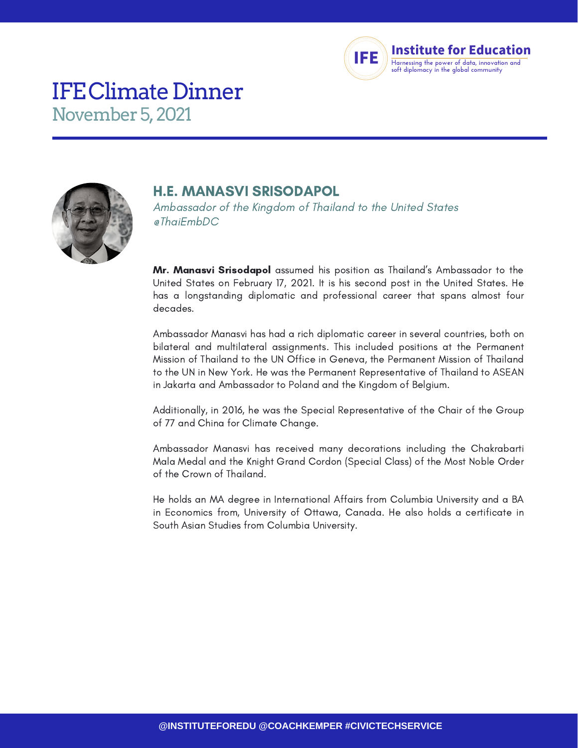

# IFE Climate Dinner November 5, 2021



### H.E. MANASVI SRISODAPOL

Ambassador of the Kingdom of Thailand to the United States @ThaiEmbDC

Mr. Manasvi Srisodapol assumed his position as Thailand's Ambassador to the United States on February 17, 2021. It is his second post in the United States. He has a longstanding diplomatic and professional career that spans almost four decades.

Ambassador Manasvi has had a rich diplomatic career in several countries, both on bilateral and multilateral assignments. This included positions at the Permanent Mission of Thailand to the UN Office in Geneva, the Permanent Mission of Thailand to the UN in New York. He was the Permanent Representative of Thailand to ASEAN in Jakarta and Ambassador to Poland and the Kingdom of Belgium.

Additionally, in 2016, he was the Special Representative of the Chair of the Group of 77 and China for Climate Change.

Ambassador Manasvi has received many decorations including the Chakrabarti Mala Medal and the Knight Grand Cordon (Special Class) of the Most Noble Order of the Crown of Thailand.

He holds an MA degree in International Affairs from Columbia University and a BA in Economics from, University of Ottawa, Canada. He also holds a certificate in South Asian Studies from Columbia University.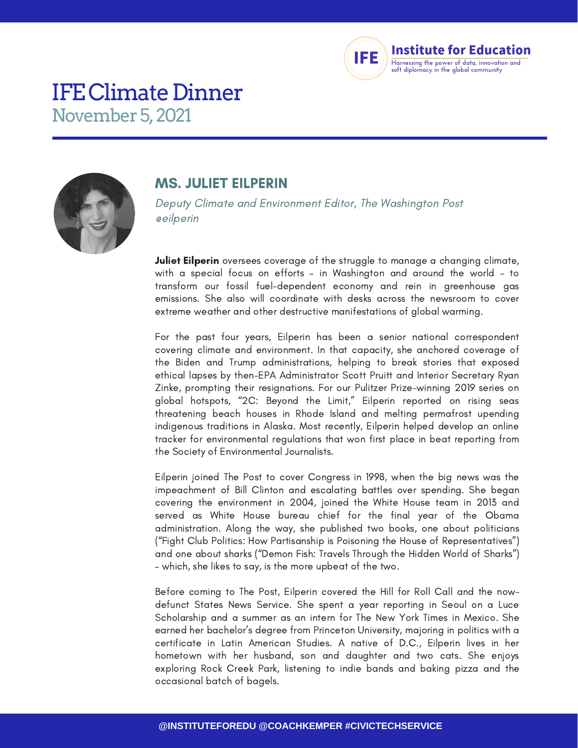

## IFE Climate Dinner November 5, 2021



#### MS. JULIET EILPERIN

Deputy Climate and Environment Editor, The Washington Post [@eilperin](https://twitter.com/TopsyTurvyWorld)

**Juliet Eilperin** oversees coverage of the struggle to manage a changing climate, with a special focus on efforts – in Washington and around the world – to transform our fossil fuel-dependent economy and rein in greenhouse gas emissions. She also will coordinate with desks across the newsroom to cover extreme weather and other destructive manifestations of global warming.

For the past four years, Eilperin has been a senior national correspondent covering climate and environment. In that capacity, she anchored coverage of the Biden and Trump administrations, helping to break stories that exposed ethical lapses by then-EPA [Administrator](https://www.washingtonpost.com/national/health-science/trump-epa-head-steps-down-after-wave-of-ethics-management-scandals/2018/07/05/39f4251a-6813-11e8-bea7-c8eb28bc52b1_story.html?itid=lk_inline_manual_6) Scott Pruitt and Interior Secretary Ryan Zinke, prompting their resignations. For our Pulitzer Prize-winning 2019 series on global hotspots, "2C: [Beyond](https://www.washingtonpost.com/graphics/2019/national/climate-environment/climate-change-america/?itid=lk_inline_manual_4&itid=lk_inline_manual_6) the Limit," Eilperin reported on rising seas threatening beach houses in Rhode Island and melting permafrost upending indigenous traditions in [Alaska.](https://www.washingtonpost.com/graphics/2019/national/climate-environment/climate-change-alaska/?itid=lk_inline_manual_6) Most recently, Eilperin helped develop an online tracker for environmental regulations that won first place in beat reporting from the Society of Environmental Journalists.

Eilperin joined The Post to cover Congress in 1998, when the big news was the impeachment of Bill Clinton and escalating battles over spending. She began covering the environment in 2004, joined the White House team in 2013 and served as White House bureau chief for the final year of the Obama administration. Along the way, she published two books, one about politicians ("Fight Club Politics: How Partisanship is Poisoning the House of Representatives") and one about sharks ("Demon Fish: Travels Through the Hidden World of Sharks") – which, she likes to say, is the more upbeat of the two.

Before coming to The Post, Eilperin covered the Hill for Roll Call and the nowdefunct States News Service. She spent a year reporting in Seoul on a Luce Scholarship and a summer as an intern for The New York Times in Mexico. She earned her bachelor's degree from Princeton University, majoring in politics with a certificate in Latin American Studies. A native of D.C., Eilperin lives in her hometown with her husband, son and daughter and two cats. She enjoys exploring Rock Creek Park, listening to indie bands and baking pizza and the occasional batch of bagels.